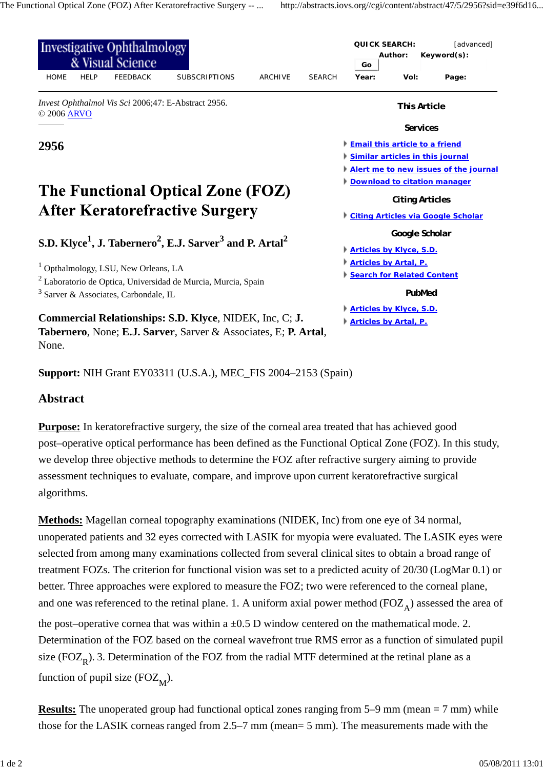| <b>Investigative Ophthalmology</b><br>& Visual Science                                                         |             |                 |                                                                            |                |                        |                                           | <b>QUICK SEARCH:</b><br>Author:<br>Keyword(s):<br>Go |                                       |  |
|----------------------------------------------------------------------------------------------------------------|-------------|-----------------|----------------------------------------------------------------------------|----------------|------------------------|-------------------------------------------|------------------------------------------------------|---------------------------------------|--|
| <b>HOME</b>                                                                                                    | <b>HELP</b> | <b>FEEDBACK</b> | <b>SUBSCRIPTIONS</b>                                                       | <b>ARCHIVE</b> | <b>SEARCH</b>          | Year:                                     | Vol:                                                 | Page:                                 |  |
| Invest Ophthalmol Vis Sci 2006;47: E-Abstract 2956.<br>© 2006 ARVO                                             |             |                 |                                                                            |                |                        | <b>This Article</b>                       |                                                      |                                       |  |
|                                                                                                                |             |                 |                                                                            |                |                        |                                           | <b>Services</b>                                      |                                       |  |
| 2956                                                                                                           |             |                 |                                                                            |                |                        | <b>Email this article to a friend</b>     |                                                      |                                       |  |
|                                                                                                                |             |                 |                                                                            |                |                        | Similar articles in this journal          |                                                      |                                       |  |
|                                                                                                                |             |                 |                                                                            |                |                        |                                           |                                                      | Alert me to new issues of the journal |  |
|                                                                                                                |             |                 |                                                                            |                |                        |                                           |                                                      | Download to citation manager          |  |
| The Functional Optical Zone (FOZ)                                                                              |             |                 |                                                                            |                | <b>Citing Articles</b> |                                           |                                                      |                                       |  |
| <b>After Keratorefractive Surgery</b>                                                                          |             |                 |                                                                            |                |                        | <b>Citing Articles via Google Scholar</b> |                                                      |                                       |  |
|                                                                                                                |             |                 |                                                                            |                |                        | Google Scholar                            |                                                      |                                       |  |
| S.D. Klyce <sup>1</sup> , J. Tabernero <sup>2</sup> , E.J. Sarver <sup>3</sup> and P. Artal <sup>2</sup>       |             |                 |                                                                            |                |                        | <b>Articles by Klyce, S.D.</b>            |                                                      |                                       |  |
|                                                                                                                |             |                 |                                                                            |                |                        | <b>Articles by Artal, P.</b>              |                                                      |                                       |  |
| Opthalmology, LSU, New Orleans, LA<br><sup>2</sup> Laboratorio de Optica, Universidad de Murcia, Murcia, Spain |             |                 |                                                                            |                |                        | Search for Related Content                |                                                      |                                       |  |
| $3$ Sarver & Associates, Carbondale, IL                                                                        |             |                 |                                                                            |                |                        | PubMed                                    |                                                      |                                       |  |
|                                                                                                                |             |                 |                                                                            |                |                        | <b>Articles by Klyce, S.D.</b>            |                                                      |                                       |  |
| Commercial Relationships: S.D. Klyce, NIDEK, Inc, C; J.                                                        |             |                 |                                                                            |                |                        |                                           | <b>Articles by Artal, P.</b>                         |                                       |  |
|                                                                                                                |             |                 | <b>Tabernero, None; E.J. Sarver, Sarver &amp; Associates, E; P. Artal,</b> |                |                        |                                           |                                                      |                                       |  |
| None.                                                                                                          |             |                 |                                                                            |                |                        |                                           |                                                      |                                       |  |

**Support:** NIH Grant EY03311 (U.S.A.), MEC\_FIS 2004–2153 (Spain)

## **Abstract**

**Purpose:** In keratorefractive surgery, the size of the corneal area treated that has achieved good post–operative optical performance has been defined as the Functional Optical Zone (FOZ). In this study, we develop three objective methods to determine the FOZ after refractive surgery aiming to provide assessment techniques to evaluate, compare, and improve upon current keratorefractive surgical algorithms.

**Methods:** Magellan corneal topography examinations (NIDEK, Inc) from one eye of 34 normal, unoperated patients and 32 eyes corrected with LASIK for myopia were evaluated. The LASIK eyes were selected from among many examinations collected from several clinical sites to obtain a broad range of treatment FOZs. The criterion for functional vision was set to a predicted acuity of 20/30 (LogMar 0.1) or better. Three approaches were explored to measure the FOZ; two were referenced to the corneal plane, and one was referenced to the retinal plane. 1. A uniform axial power method ( $FOZ<sub>A</sub>$ ) assessed the area of the post–operative cornea that was within a  $\pm 0.5$  D window centered on the mathematical mode. 2. Determination of the FOZ based on the corneal wavefront true RMS error as a function of simulated pupil size ( $FOZ<sub>p</sub>$ ). 3. Determination of the FOZ from the radial MTF determined at the retinal plane as a function of pupil size ( $FOZ_M$ ).

**Results:** The unoperated group had functional optical zones ranging from 5–9 mm (mean = 7 mm) while those for the LASIK corneas ranged from 2.5–7 mm (mean= 5 mm). The measurements made with the